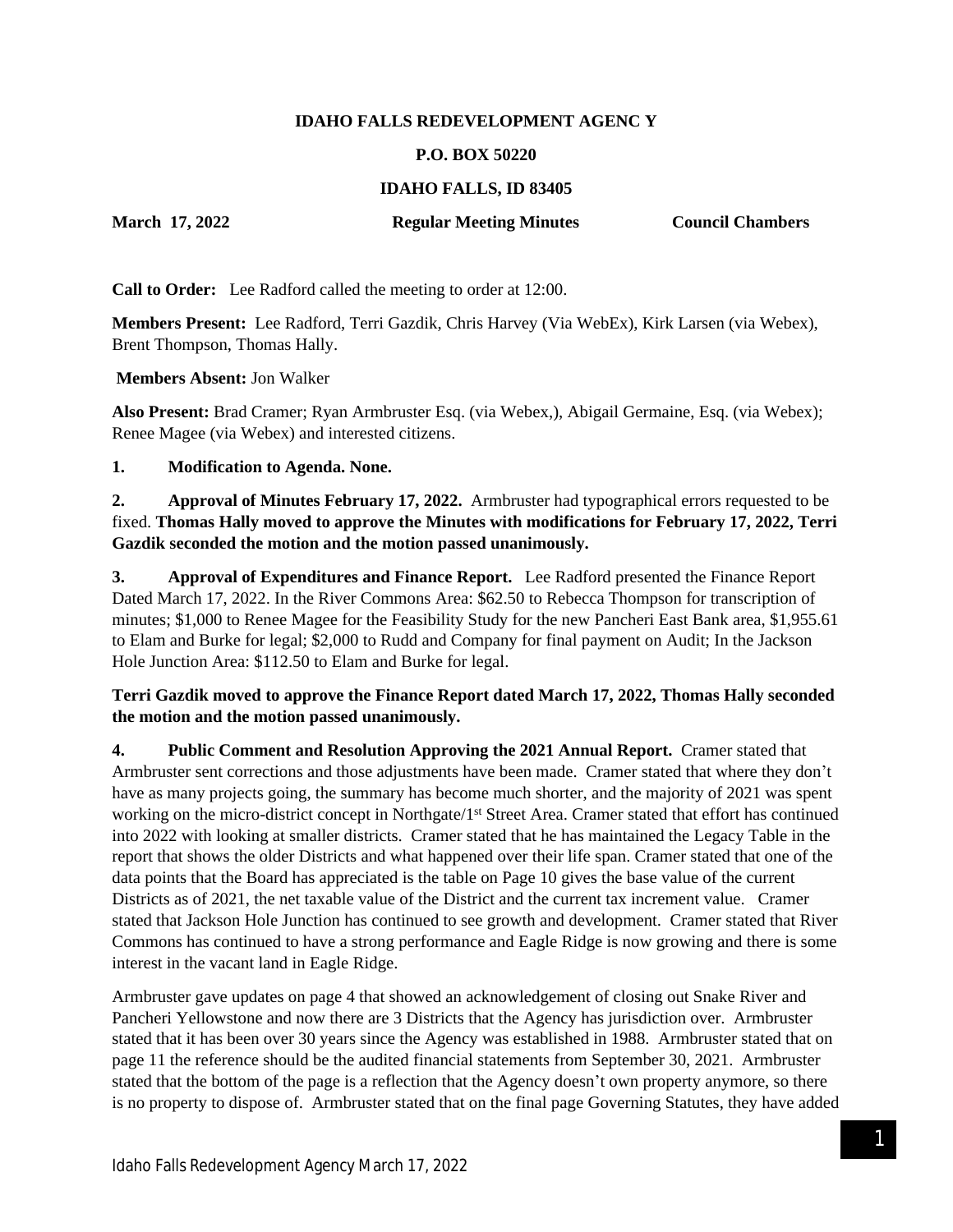#### **IDAHO FALLS REDEVELOPMENT AGENC Y**

#### **P.O. BOX 50220**

## **IDAHO FALLS, ID 83405**

**March 17, 2022 Regular Meeting Minutes Council Chambers**

**Call to Order:** Lee Radford called the meeting to order at 12:00.

**Members Present:** Lee Radford, Terri Gazdik, Chris Harvey (Via WebEx), Kirk Larsen (via Webex), Brent Thompson, Thomas Hally.

**Members Absent:** Jon Walker

**Also Present:** Brad Cramer; Ryan Armbruster Esq. (via Webex,), Abigail Germaine, Esq. (via Webex); Renee Magee (via Webex) and interested citizens.

**1. Modification to Agenda. None.**

**2. Approval of Minutes February 17, 2022.** Armbruster had typographical errors requested to be fixed. **Thomas Hally moved to approve the Minutes with modifications for February 17, 2022, Terri Gazdik seconded the motion and the motion passed unanimously.**

**3. Approval of Expenditures and Finance Report.** Lee Radford presented the Finance Report Dated March 17, 2022. In the River Commons Area: \$62.50 to Rebecca Thompson for transcription of minutes; \$1,000 to Renee Magee for the Feasibility Study for the new Pancheri East Bank area, \$1,955.61 to Elam and Burke for legal; \$2,000 to Rudd and Company for final payment on Audit; In the Jackson Hole Junction Area: \$112.50 to Elam and Burke for legal.

# **Terri Gazdik moved to approve the Finance Report dated March 17, 2022, Thomas Hally seconded the motion and the motion passed unanimously.**

**4. Public Comment and Resolution Approving the 2021 Annual Report.** Cramer stated that Armbruster sent corrections and those adjustments have been made. Cramer stated that where they don't have as many projects going, the summary has become much shorter, and the majority of 2021 was spent working on the micro-district concept in Northgate/1st Street Area. Cramer stated that effort has continued into 2022 with looking at smaller districts. Cramer stated that he has maintained the Legacy Table in the report that shows the older Districts and what happened over their life span. Cramer stated that one of the data points that the Board has appreciated is the table on Page 10 gives the base value of the current Districts as of 2021, the net taxable value of the District and the current tax increment value. Cramer stated that Jackson Hole Junction has continued to see growth and development. Cramer stated that River Commons has continued to have a strong performance and Eagle Ridge is now growing and there is some interest in the vacant land in Eagle Ridge.

Armbruster gave updates on page 4 that showed an acknowledgement of closing out Snake River and Pancheri Yellowstone and now there are 3 Districts that the Agency has jurisdiction over. Armbruster stated that it has been over 30 years since the Agency was established in 1988. Armbruster stated that on page 11 the reference should be the audited financial statements from September 30, 2021. Armbruster stated that the bottom of the page is a reflection that the Agency doesn't own property anymore, so there is no property to dispose of. Armbruster stated that on the final page Governing Statutes, they have added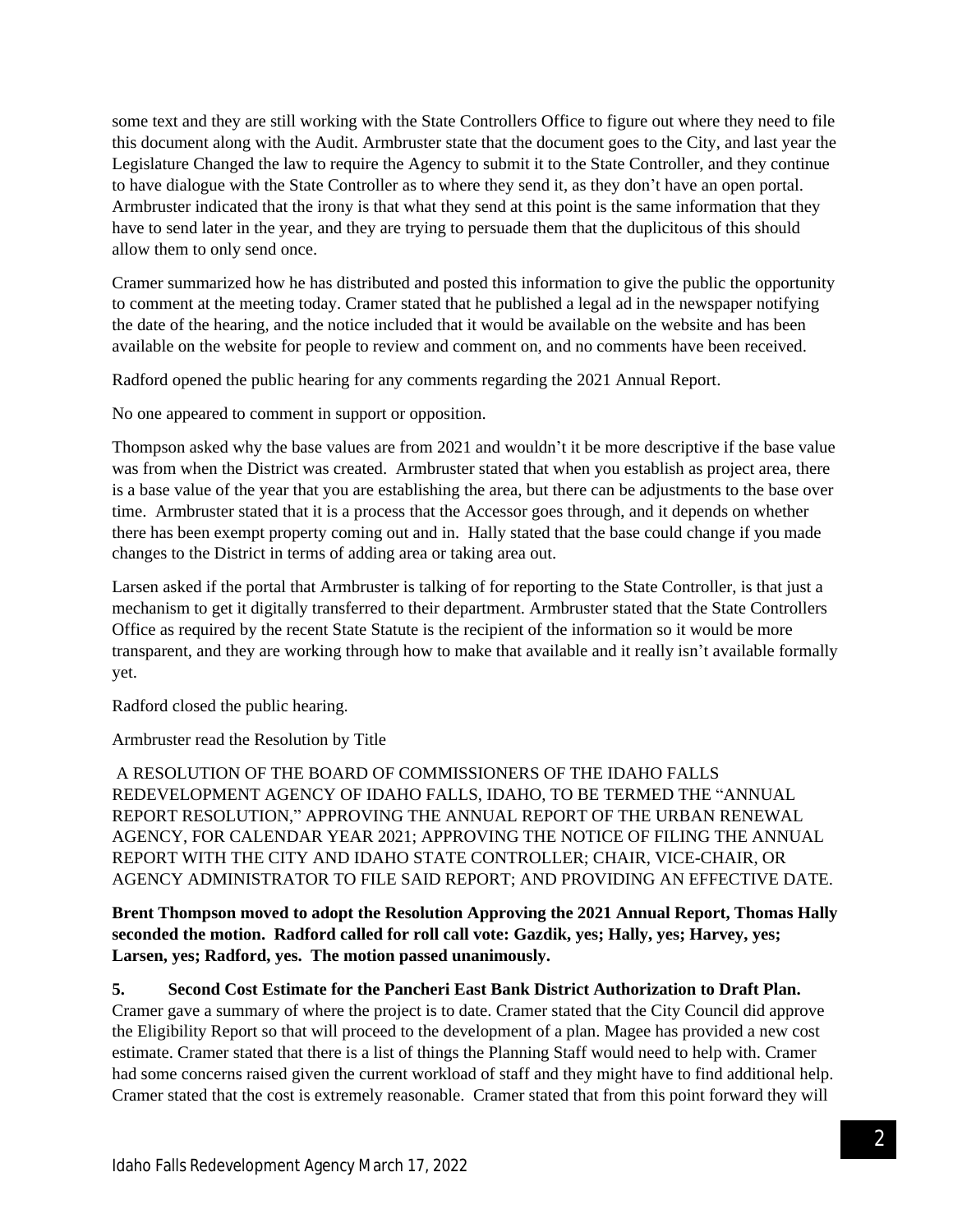some text and they are still working with the State Controllers Office to figure out where they need to file this document along with the Audit. Armbruster state that the document goes to the City, and last year the Legislature Changed the law to require the Agency to submit it to the State Controller, and they continue to have dialogue with the State Controller as to where they send it, as they don't have an open portal. Armbruster indicated that the irony is that what they send at this point is the same information that they have to send later in the year, and they are trying to persuade them that the duplicitous of this should allow them to only send once.

Cramer summarized how he has distributed and posted this information to give the public the opportunity to comment at the meeting today. Cramer stated that he published a legal ad in the newspaper notifying the date of the hearing, and the notice included that it would be available on the website and has been available on the website for people to review and comment on, and no comments have been received.

Radford opened the public hearing for any comments regarding the 2021 Annual Report.

No one appeared to comment in support or opposition.

Thompson asked why the base values are from 2021 and wouldn't it be more descriptive if the base value was from when the District was created. Armbruster stated that when you establish as project area, there is a base value of the year that you are establishing the area, but there can be adjustments to the base over time. Armbruster stated that it is a process that the Accessor goes through, and it depends on whether there has been exempt property coming out and in. Hally stated that the base could change if you made changes to the District in terms of adding area or taking area out.

Larsen asked if the portal that Armbruster is talking of for reporting to the State Controller, is that just a mechanism to get it digitally transferred to their department. Armbruster stated that the State Controllers Office as required by the recent State Statute is the recipient of the information so it would be more transparent, and they are working through how to make that available and it really isn't available formally yet.

Radford closed the public hearing.

Armbruster read the Resolution by Title

A RESOLUTION OF THE BOARD OF COMMISSIONERS OF THE IDAHO FALLS REDEVELOPMENT AGENCY OF IDAHO FALLS, IDAHO, TO BE TERMED THE "ANNUAL REPORT RESOLUTION," APPROVING THE ANNUAL REPORT OF THE URBAN RENEWAL AGENCY, FOR CALENDAR YEAR 2021; APPROVING THE NOTICE OF FILING THE ANNUAL REPORT WITH THE CITY AND IDAHO STATE CONTROLLER; CHAIR, VICE-CHAIR, OR AGENCY ADMINISTRATOR TO FILE SAID REPORT; AND PROVIDING AN EFFECTIVE DATE.

**Brent Thompson moved to adopt the Resolution Approving the 2021 Annual Report, Thomas Hally seconded the motion. Radford called for roll call vote: Gazdik, yes; Hally, yes; Harvey, yes; Larsen, yes; Radford, yes. The motion passed unanimously.**

**5. Second Cost Estimate for the Pancheri East Bank District Authorization to Draft Plan.** 

Cramer gave a summary of where the project is to date. Cramer stated that the City Council did approve the Eligibility Report so that will proceed to the development of a plan. Magee has provided a new cost estimate. Cramer stated that there is a list of things the Planning Staff would need to help with. Cramer had some concerns raised given the current workload of staff and they might have to find additional help. Cramer stated that the cost is extremely reasonable. Cramer stated that from this point forward they will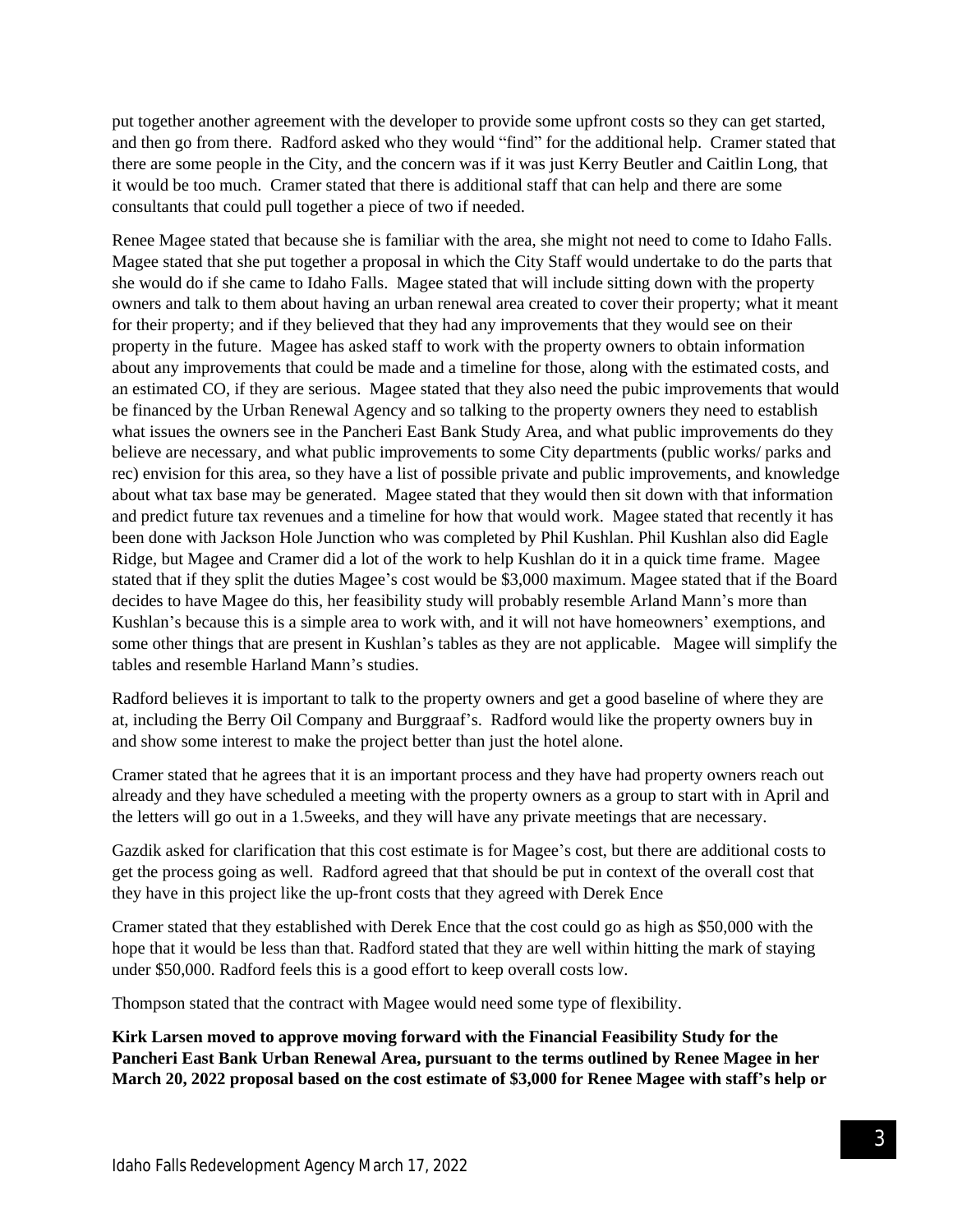put together another agreement with the developer to provide some upfront costs so they can get started, and then go from there. Radford asked who they would "find" for the additional help. Cramer stated that there are some people in the City, and the concern was if it was just Kerry Beutler and Caitlin Long, that it would be too much. Cramer stated that there is additional staff that can help and there are some consultants that could pull together a piece of two if needed.

Renee Magee stated that because she is familiar with the area, she might not need to come to Idaho Falls. Magee stated that she put together a proposal in which the City Staff would undertake to do the parts that she would do if she came to Idaho Falls. Magee stated that will include sitting down with the property owners and talk to them about having an urban renewal area created to cover their property; what it meant for their property; and if they believed that they had any improvements that they would see on their property in the future. Magee has asked staff to work with the property owners to obtain information about any improvements that could be made and a timeline for those, along with the estimated costs, and an estimated CO, if they are serious. Magee stated that they also need the pubic improvements that would be financed by the Urban Renewal Agency and so talking to the property owners they need to establish what issues the owners see in the Pancheri East Bank Study Area, and what public improvements do they believe are necessary, and what public improvements to some City departments (public works/ parks and rec) envision for this area, so they have a list of possible private and public improvements, and knowledge about what tax base may be generated. Magee stated that they would then sit down with that information and predict future tax revenues and a timeline for how that would work. Magee stated that recently it has been done with Jackson Hole Junction who was completed by Phil Kushlan. Phil Kushlan also did Eagle Ridge, but Magee and Cramer did a lot of the work to help Kushlan do it in a quick time frame. Magee stated that if they split the duties Magee's cost would be \$3,000 maximum. Magee stated that if the Board decides to have Magee do this, her feasibility study will probably resemble Arland Mann's more than Kushlan's because this is a simple area to work with, and it will not have homeowners' exemptions, and some other things that are present in Kushlan's tables as they are not applicable. Magee will simplify the tables and resemble Harland Mann's studies.

Radford believes it is important to talk to the property owners and get a good baseline of where they are at, including the Berry Oil Company and Burggraaf's. Radford would like the property owners buy in and show some interest to make the project better than just the hotel alone.

Cramer stated that he agrees that it is an important process and they have had property owners reach out already and they have scheduled a meeting with the property owners as a group to start with in April and the letters will go out in a 1.5weeks, and they will have any private meetings that are necessary.

Gazdik asked for clarification that this cost estimate is for Magee's cost, but there are additional costs to get the process going as well. Radford agreed that that should be put in context of the overall cost that they have in this project like the up-front costs that they agreed with Derek Ence

Cramer stated that they established with Derek Ence that the cost could go as high as \$50,000 with the hope that it would be less than that. Radford stated that they are well within hitting the mark of staying under \$50,000. Radford feels this is a good effort to keep overall costs low.

Thompson stated that the contract with Magee would need some type of flexibility.

**Kirk Larsen moved to approve moving forward with the Financial Feasibility Study for the Pancheri East Bank Urban Renewal Area, pursuant to the terms outlined by Renee Magee in her March 20, 2022 proposal based on the cost estimate of \$3,000 for Renee Magee with staff's help or**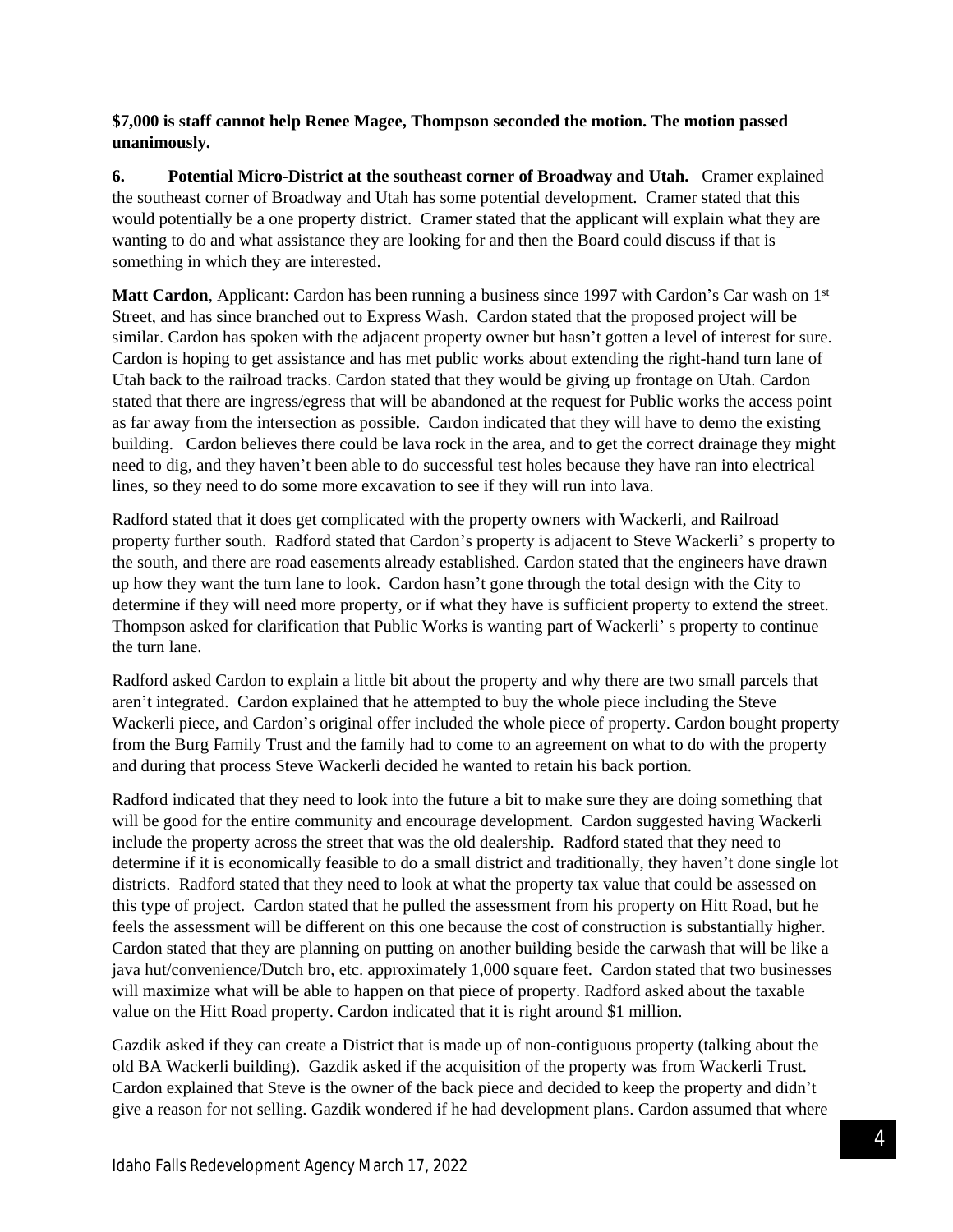## **\$7,000 is staff cannot help Renee Magee, Thompson seconded the motion. The motion passed unanimously.**

**6. Potential Micro-District at the southeast corner of Broadway and Utah.** Cramer explained the southeast corner of Broadway and Utah has some potential development. Cramer stated that this would potentially be a one property district. Cramer stated that the applicant will explain what they are wanting to do and what assistance they are looking for and then the Board could discuss if that is something in which they are interested.

**Matt Cardon**, Applicant: Cardon has been running a business since 1997 with Cardon's Car wash on 1<sup>st</sup> Street, and has since branched out to Express Wash. Cardon stated that the proposed project will be similar. Cardon has spoken with the adjacent property owner but hasn't gotten a level of interest for sure. Cardon is hoping to get assistance and has met public works about extending the right-hand turn lane of Utah back to the railroad tracks. Cardon stated that they would be giving up frontage on Utah. Cardon stated that there are ingress/egress that will be abandoned at the request for Public works the access point as far away from the intersection as possible. Cardon indicated that they will have to demo the existing building. Cardon believes there could be lava rock in the area, and to get the correct drainage they might need to dig, and they haven't been able to do successful test holes because they have ran into electrical lines, so they need to do some more excavation to see if they will run into lava.

Radford stated that it does get complicated with the property owners with Wackerli, and Railroad property further south. Radford stated that Cardon's property is adjacent to Steve Wackerli' s property to the south, and there are road easements already established. Cardon stated that the engineers have drawn up how they want the turn lane to look. Cardon hasn't gone through the total design with the City to determine if they will need more property, or if what they have is sufficient property to extend the street. Thompson asked for clarification that Public Works is wanting part of Wackerli' s property to continue the turn lane.

Radford asked Cardon to explain a little bit about the property and why there are two small parcels that aren't integrated. Cardon explained that he attempted to buy the whole piece including the Steve Wackerli piece, and Cardon's original offer included the whole piece of property. Cardon bought property from the Burg Family Trust and the family had to come to an agreement on what to do with the property and during that process Steve Wackerli decided he wanted to retain his back portion.

Radford indicated that they need to look into the future a bit to make sure they are doing something that will be good for the entire community and encourage development. Cardon suggested having Wackerli include the property across the street that was the old dealership. Radford stated that they need to determine if it is economically feasible to do a small district and traditionally, they haven't done single lot districts. Radford stated that they need to look at what the property tax value that could be assessed on this type of project. Cardon stated that he pulled the assessment from his property on Hitt Road, but he feels the assessment will be different on this one because the cost of construction is substantially higher. Cardon stated that they are planning on putting on another building beside the carwash that will be like a java hut/convenience/Dutch bro, etc. approximately 1,000 square feet. Cardon stated that two businesses will maximize what will be able to happen on that piece of property. Radford asked about the taxable value on the Hitt Road property. Cardon indicated that it is right around \$1 million.

Gazdik asked if they can create a District that is made up of non-contiguous property (talking about the old BA Wackerli building). Gazdik asked if the acquisition of the property was from Wackerli Trust. Cardon explained that Steve is the owner of the back piece and decided to keep the property and didn't give a reason for not selling. Gazdik wondered if he had development plans. Cardon assumed that where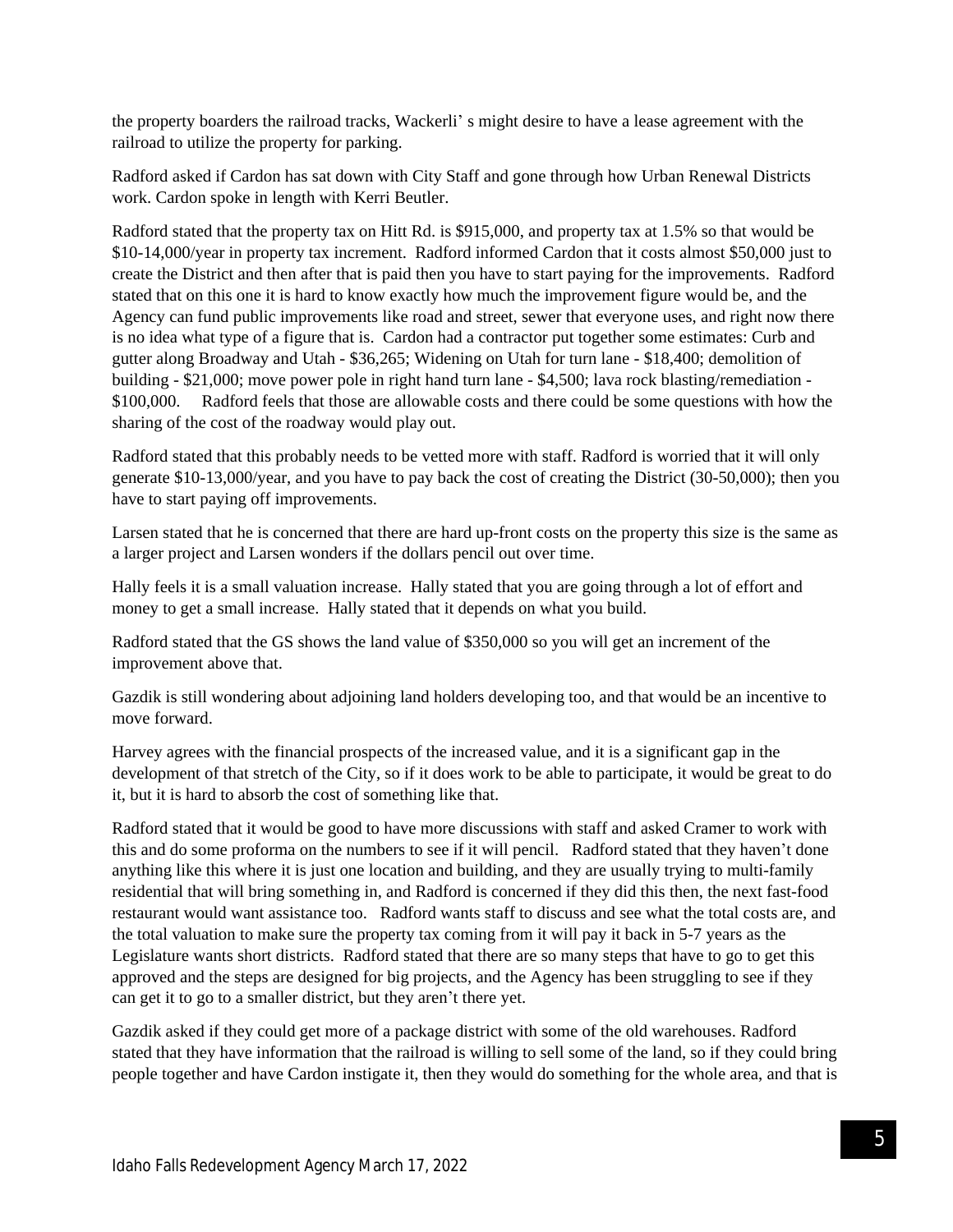the property boarders the railroad tracks, Wackerli' s might desire to have a lease agreement with the railroad to utilize the property for parking.

Radford asked if Cardon has sat down with City Staff and gone through how Urban Renewal Districts work. Cardon spoke in length with Kerri Beutler.

Radford stated that the property tax on Hitt Rd. is \$915,000, and property tax at 1.5% so that would be \$10-14,000/year in property tax increment. Radford informed Cardon that it costs almost \$50,000 just to create the District and then after that is paid then you have to start paying for the improvements. Radford stated that on this one it is hard to know exactly how much the improvement figure would be, and the Agency can fund public improvements like road and street, sewer that everyone uses, and right now there is no idea what type of a figure that is. Cardon had a contractor put together some estimates: Curb and gutter along Broadway and Utah - \$36,265; Widening on Utah for turn lane - \$18,400; demolition of building - \$21,000; move power pole in right hand turn lane - \$4,500; lava rock blasting/remediation - \$100,000. Radford feels that those are allowable costs and there could be some questions with how the sharing of the cost of the roadway would play out.

Radford stated that this probably needs to be vetted more with staff. Radford is worried that it will only generate \$10-13,000/year, and you have to pay back the cost of creating the District (30-50,000); then you have to start paying off improvements.

Larsen stated that he is concerned that there are hard up-front costs on the property this size is the same as a larger project and Larsen wonders if the dollars pencil out over time.

Hally feels it is a small valuation increase. Hally stated that you are going through a lot of effort and money to get a small increase. Hally stated that it depends on what you build.

Radford stated that the GS shows the land value of \$350,000 so you will get an increment of the improvement above that.

Gazdik is still wondering about adjoining land holders developing too, and that would be an incentive to move forward.

Harvey agrees with the financial prospects of the increased value, and it is a significant gap in the development of that stretch of the City, so if it does work to be able to participate, it would be great to do it, but it is hard to absorb the cost of something like that.

Radford stated that it would be good to have more discussions with staff and asked Cramer to work with this and do some proforma on the numbers to see if it will pencil. Radford stated that they haven't done anything like this where it is just one location and building, and they are usually trying to multi-family residential that will bring something in, and Radford is concerned if they did this then, the next fast-food restaurant would want assistance too. Radford wants staff to discuss and see what the total costs are, and the total valuation to make sure the property tax coming from it will pay it back in 5-7 years as the Legislature wants short districts. Radford stated that there are so many steps that have to go to get this approved and the steps are designed for big projects, and the Agency has been struggling to see if they can get it to go to a smaller district, but they aren't there yet.

Gazdik asked if they could get more of a package district with some of the old warehouses. Radford stated that they have information that the railroad is willing to sell some of the land, so if they could bring people together and have Cardon instigate it, then they would do something for the whole area, and that is